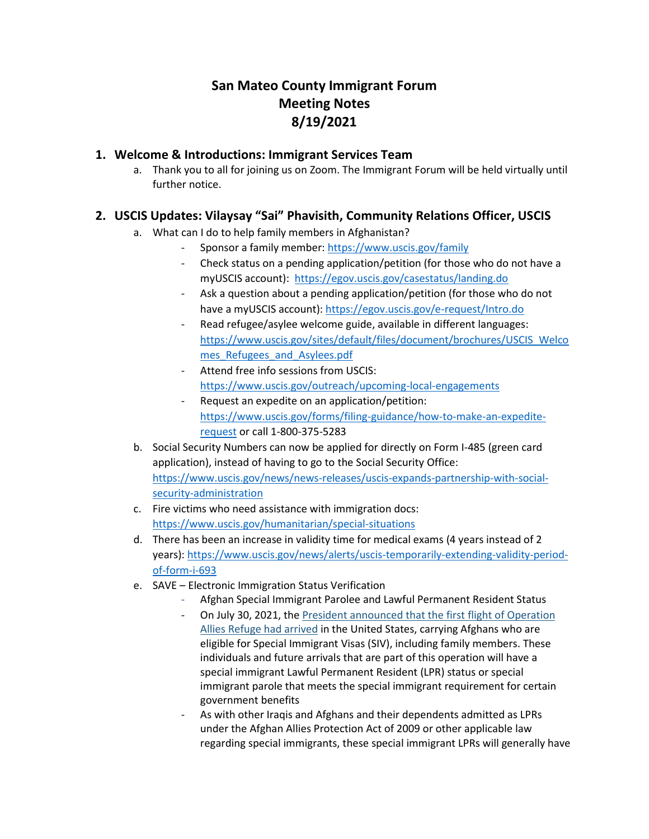# **San Mateo County Immigrant Forum Meeting Notes 8/19/2021**

#### **1. Welcome & Introductions: Immigrant Services Team**

a. Thank you to all for joining us on Zoom. The Immigrant Forum will be held virtually until further notice.

### **2. USCIS Updates: Vilaysay "Sai" Phavisith, Community Relations Officer, USCIS**

- a. What can I do to help family members in Afghanistan?
	- Sponsor a family member: [https://www.uscis.gov/family](https://protect-us.mimecast.com/s/9_pKCERX0OIR5EWquNU-B4)
	- Check status on a pending application/petition (for those who do not have a myUSCIS account): [https://egov.uscis.gov/casestatus/landing.do](https://protect-us.mimecast.com/s/1ytDCG6XMncj5vJ8s7szU-)
	- Ask a question about a pending application/petition (for those who do not have a myUSCIS account): [https://egov.uscis.gov/e-request/Intro.do](https://protect-us.mimecast.com/s/IPboCJ6KNDc0EN8nHz7AML)
	- Read refugee/asylee welcome guide, available in different languages: [https://www.uscis.gov/sites/default/files/document/brochures/USCIS\\_Welco](https://protect-us.mimecast.com/s/PW7nCKr7LXh35Vq1CAJMsF) mes Refugees and Asylees.pdf
	- Attend free info sessions from USCIS: [https://www.uscis.gov/outreach/upcoming-local-engagements](https://protect-us.mimecast.com/s/YyrSCVO27pfOoGlZtN8oXs)
	- Request an expedite on an application/petition: [https://www.uscis.gov/forms/filing-guidance/how-to-make-an-expedite](https://www.uscis.gov/forms/filing-guidance/how-to-make-an-expedite-request)[request](https://www.uscis.gov/forms/filing-guidance/how-to-make-an-expedite-request) or call 1-800-375-5283
- b. Social Security Numbers can now be applied for directly on Form I-485 (green card application), instead of having to go to the Social Security Office: [https://www.uscis.gov/news/news-releases/uscis-expands-partnership-with-social](https://protect-us.mimecast.com/s/YFQqCNkKYDFvm4N6Hz8i2A)[security-administration](https://protect-us.mimecast.com/s/YFQqCNkKYDFvm4N6Hz8i2A)
- c. Fire victims who need assistance with immigration docs: [https://www.uscis.gov/humanitarian/special-situations](https://protect-us.mimecast.com/s/wgpJCOYXPlTqmWAOijMR5Z)
- d. There has been an increase in validity time for medical exams (4 years instead of 2 years)[: https://www.uscis.gov/news/alerts/uscis-temporarily-extending-validity-period](https://protect-us.mimecast.com/s/dJlQCPNKzmuyEp46Um47BK)[of-form-i-693](https://protect-us.mimecast.com/s/dJlQCPNKzmuyEp46Um47BK)
- e. SAVE Electronic Immigration Status Verification
	- Afghan Special Immigrant Parolee and Lawful Permanent Resident Status
	- On July 30, 2021, the [President announced that the first flight of Operation](https://gcc02.safelinks.protection.outlook.com/?url=https%3A%2F%2Flnks.gd%2Fl%2FeyJhbGciOiJIUzI1NiJ9.eyJidWxsZXRpbl9saW5rX2lkIjoxMDAsInVyaSI6ImJwMjpjbGljayIsImJ1bGxldGluX2lkIjoiMjAyMTA4MTIuNDQ0ODQ4NzEiLCJ1cmwiOiJodHRwczovL2djYzAyLnNhZmVsaW5rcy5wcm90ZWN0aW9uLm91dGxvb2suY29tLz91cmw9aHR0cHMlM0ElMkYlMkZ3d3cud2hpdGVob3VzZS5nb3YlMkZicmllZmluZy1yb29tJTJGc3RhdGVtZW50cy1yZWxlYXNlcyUyRjIwMjElMkYwNyUyRjMwJTJGc3RhdGVtZW50LW9mLXByZXNpZGVudC1qb2UtYmlkZW4tb24tdGhlLWFycml2YWwtb2YtdGhlLWZpcnN0LWZsaWdodC1vZi1vcGVyYXRpb24tYWxsaWVzLXJlZnVnZSUyRiZkYXRhPTA0JTdDMDElN0NsYXRhc2hhLmwubGVlJTQwdXNjaXMuZGhzLmdvdiU3QzdiYWI3ZjVjMWJiZTQ5MzUyZjY4MDhkOTVkYzJiOGM5JTdDNWU0MWVlNzQwZDJkNGE3Mjg5NzU5OThjZTgzMjA1ZWIlN0MwJTdDMCU3QzYzNzY0MzkxMzE2NTI0MjU3MCU3Q1Vua25vd24lN0NUV0ZwYkdac2IzZDhleUpXSWpvaU1DNHdMakF3TURBaUxDSlFJam9pVjJsdU16SWlMQ0pCVGlJNklrMWhhV3dpTENKWFZDSTZNbjAlM0QlN0MxMDAwJnNkYXRhPXFPTGQxQ1oxak9WelFoeGpOJTJCODdJbllucm5zQVA5anBnUmZSNkZ5cDh3NCUzRCZyZXNlcnZlZD0wIn0.kYUGz4x5MZVRGXj8n3_RNc2HW4eNwa-mMQOOQZ9I2lg%2Fs%2F839761766%2Fbr%2F110823502846-l&data=04%7C01%7CVilaysay.Phavisith%40uscis.dhs.gov%7C693f011e512b4181b7cc08d95dd755ca%7C5e41ee740d2d4a728975998ce83205eb%7C0%7C0%7C637644001915437776%7CUnknown%7CTWFpbGZsb3d8eyJWIjoiMC4wLjAwMDAiLCJQIjoiV2luMzIiLCJBTiI6Ik1haWwiLCJXVCI6Mn0%3D%7C1000&sdata=SK4EOn0sO4AKG%2BFNShsbKv7Y2ZT0EVjaOQoWxC%2F6WZ8%3D&reserved=0)  [Allies Refuge had arrived](https://gcc02.safelinks.protection.outlook.com/?url=https%3A%2F%2Flnks.gd%2Fl%2FeyJhbGciOiJIUzI1NiJ9.eyJidWxsZXRpbl9saW5rX2lkIjoxMDAsInVyaSI6ImJwMjpjbGljayIsImJ1bGxldGluX2lkIjoiMjAyMTA4MTIuNDQ0ODQ4NzEiLCJ1cmwiOiJodHRwczovL2djYzAyLnNhZmVsaW5rcy5wcm90ZWN0aW9uLm91dGxvb2suY29tLz91cmw9aHR0cHMlM0ElMkYlMkZ3d3cud2hpdGVob3VzZS5nb3YlMkZicmllZmluZy1yb29tJTJGc3RhdGVtZW50cy1yZWxlYXNlcyUyRjIwMjElMkYwNyUyRjMwJTJGc3RhdGVtZW50LW9mLXByZXNpZGVudC1qb2UtYmlkZW4tb24tdGhlLWFycml2YWwtb2YtdGhlLWZpcnN0LWZsaWdodC1vZi1vcGVyYXRpb24tYWxsaWVzLXJlZnVnZSUyRiZkYXRhPTA0JTdDMDElN0NsYXRhc2hhLmwubGVlJTQwdXNjaXMuZGhzLmdvdiU3QzdiYWI3ZjVjMWJiZTQ5MzUyZjY4MDhkOTVkYzJiOGM5JTdDNWU0MWVlNzQwZDJkNGE3Mjg5NzU5OThjZTgzMjA1ZWIlN0MwJTdDMCU3QzYzNzY0MzkxMzE2NTI0MjU3MCU3Q1Vua25vd24lN0NUV0ZwYkdac2IzZDhleUpXSWpvaU1DNHdMakF3TURBaUxDSlFJam9pVjJsdU16SWlMQ0pCVGlJNklrMWhhV3dpTENKWFZDSTZNbjAlM0QlN0MxMDAwJnNkYXRhPXFPTGQxQ1oxak9WelFoeGpOJTJCODdJbllucm5zQVA5anBnUmZSNkZ5cDh3NCUzRCZyZXNlcnZlZD0wIn0.kYUGz4x5MZVRGXj8n3_RNc2HW4eNwa-mMQOOQZ9I2lg%2Fs%2F839761766%2Fbr%2F110823502846-l&data=04%7C01%7CVilaysay.Phavisith%40uscis.dhs.gov%7C693f011e512b4181b7cc08d95dd755ca%7C5e41ee740d2d4a728975998ce83205eb%7C0%7C0%7C637644001915437776%7CUnknown%7CTWFpbGZsb3d8eyJWIjoiMC4wLjAwMDAiLCJQIjoiV2luMzIiLCJBTiI6Ik1haWwiLCJXVCI6Mn0%3D%7C1000&sdata=SK4EOn0sO4AKG%2BFNShsbKv7Y2ZT0EVjaOQoWxC%2F6WZ8%3D&reserved=0) in the United States, carrying Afghans who are eligible for Special Immigrant Visas (SIV), including family members. These individuals and future arrivals that are part of this operation will have a special immigrant Lawful Permanent Resident (LPR) status or special immigrant parole that meets the special immigrant requirement for certain government benefits
	- As with other Iraqis and Afghans and their dependents admitted as LPRs under the Afghan Allies Protection Act of 2009 or other applicable law regarding special immigrants, these special immigrant LPRs will generally have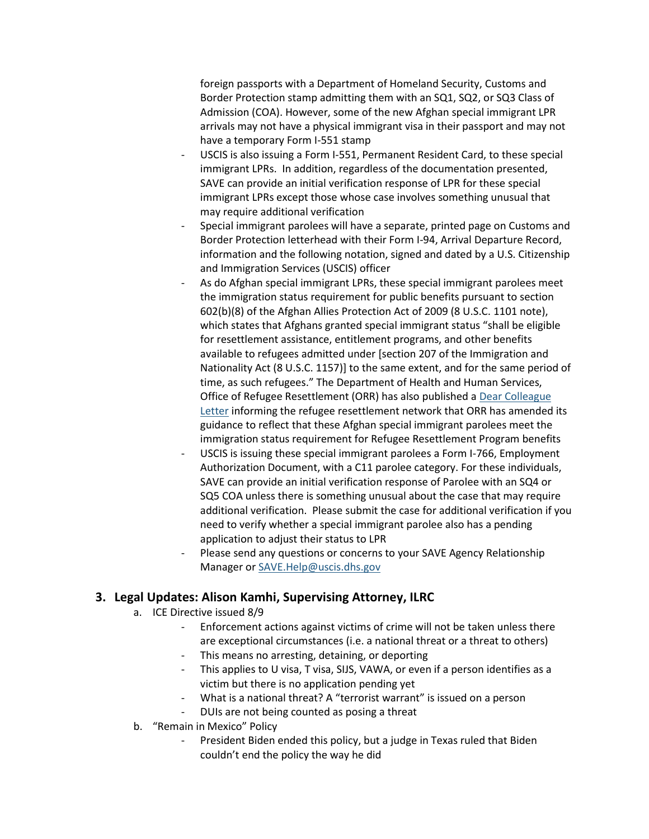foreign passports with a Department of Homeland Security, Customs and Border Protection stamp admitting them with an SQ1, SQ2, or SQ3 Class of Admission (COA). However, some of the new Afghan special immigrant LPR arrivals may not have a physical immigrant visa in their passport and may not have a temporary Form I-551 stamp

- USCIS is also issuing a Form I-551, Permanent Resident Card, to these special immigrant LPRs. In addition, regardless of the documentation presented, SAVE can provide an initial verification response of LPR for these special immigrant LPRs except those whose case involves something unusual that may require additional verification
- Special immigrant parolees will have a separate, printed page on Customs and Border Protection letterhead with their Form I-94, Arrival Departure Record, information and the following notation, signed and dated by a U.S. Citizenship and Immigration Services (USCIS) officer
- As do Afghan special immigrant LPRs, these special immigrant parolees meet the immigration status requirement for public benefits pursuant to section 602(b)(8) of the Afghan Allies Protection Act of 2009 (8 U.S.C. 1101 note), which states that Afghans granted special immigrant status "shall be eligible for resettlement assistance, entitlement programs, and other benefits available to refugees admitted under [section 207 of the Immigration and Nationality Act (8 U.S.C. 1157)] to the same extent, and for the same period of time, as such refugees." The Department of Health and Human Services, Office of Refugee Resettlement (ORR) has also published a [Dear Colleague](https://gcc02.safelinks.protection.outlook.com/?url=https%3A%2F%2Flnks.gd%2Fl%2FeyJhbGciOiJIUzI1NiJ9.eyJidWxsZXRpbl9saW5rX2lkIjoxMDEsInVyaSI6ImJwMjpjbGljayIsImJ1bGxldGluX2lkIjoiMjAyMTA4MTIuNDQ0ODQ4NzEiLCJ1cmwiOiJodHRwczovL2djYzAyLnNhZmVsaW5rcy5wcm90ZWN0aW9uLm91dGxvb2suY29tLz91cmw9aHR0cHMlM0ElMkYlMkZ3d3cuYWNmLmhocy5nb3YlMkZzaXRlcyUyRmRlZmF1bHQlMkZmaWxlcyUyRmRvY3VtZW50cyUyRm9yciUyRk9SUi1EQ0wtMjEtMTUtU1EtU0ktUGFyb2xlLTguMy4yMDIxLnBkZiZkYXRhPTA0JTdDMDElN0NsYXRhc2hhLmwubGVlJTQwdXNjaXMuZGhzLmdvdiU3QzdiYWI3ZjVjMWJiZTQ5MzUyZjY4MDhkOTVkYzJiOGM5JTdDNWU0MWVlNzQwZDJkNGE3Mjg5NzU5OThjZTgzMjA1ZWIlN0MwJTdDMCU3QzYzNzY0MzkxMzE2NTI1MjUyNiU3Q1Vua25vd24lN0NUV0ZwYkdac2IzZDhleUpXSWpvaU1DNHdMakF3TURBaUxDSlFJam9pVjJsdU16SWlMQ0pCVGlJNklrMWhhV3dpTENKWFZDSTZNbjAlM0QlN0MxMDAwJnNkYXRhPSUyRm9yM2RGM0tkenowRHZSdmR2UjA3Z1ZhTkJLJTJCNHJMdkNtJTJGNUVMeFYlMkZnUSUzRCZyZXNlcnZlZD0wIn0.Kkl-GB5x_F1YM4Zg2_o78I8S8oIREcY2m8ZgLtxFa4I%2Fs%2F839761766%2Fbr%2F110823502846-l&data=04%7C01%7CVilaysay.Phavisith%40uscis.dhs.gov%7C693f011e512b4181b7cc08d95dd755ca%7C5e41ee740d2d4a728975998ce83205eb%7C0%7C0%7C637644001915437776%7CUnknown%7CTWFpbGZsb3d8eyJWIjoiMC4wLjAwMDAiLCJQIjoiV2luMzIiLCJBTiI6Ik1haWwiLCJXVCI6Mn0%3D%7C1000&sdata=TSMT8TGR47AWVdC%2FoNoRO415LzLx2exZARMqV%2BV%2Ff8U%3D&reserved=0)  [Letter](https://gcc02.safelinks.protection.outlook.com/?url=https%3A%2F%2Flnks.gd%2Fl%2FeyJhbGciOiJIUzI1NiJ9.eyJidWxsZXRpbl9saW5rX2lkIjoxMDEsInVyaSI6ImJwMjpjbGljayIsImJ1bGxldGluX2lkIjoiMjAyMTA4MTIuNDQ0ODQ4NzEiLCJ1cmwiOiJodHRwczovL2djYzAyLnNhZmVsaW5rcy5wcm90ZWN0aW9uLm91dGxvb2suY29tLz91cmw9aHR0cHMlM0ElMkYlMkZ3d3cuYWNmLmhocy5nb3YlMkZzaXRlcyUyRmRlZmF1bHQlMkZmaWxlcyUyRmRvY3VtZW50cyUyRm9yciUyRk9SUi1EQ0wtMjEtMTUtU1EtU0ktUGFyb2xlLTguMy4yMDIxLnBkZiZkYXRhPTA0JTdDMDElN0NsYXRhc2hhLmwubGVlJTQwdXNjaXMuZGhzLmdvdiU3QzdiYWI3ZjVjMWJiZTQ5MzUyZjY4MDhkOTVkYzJiOGM5JTdDNWU0MWVlNzQwZDJkNGE3Mjg5NzU5OThjZTgzMjA1ZWIlN0MwJTdDMCU3QzYzNzY0MzkxMzE2NTI1MjUyNiU3Q1Vua25vd24lN0NUV0ZwYkdac2IzZDhleUpXSWpvaU1DNHdMakF3TURBaUxDSlFJam9pVjJsdU16SWlMQ0pCVGlJNklrMWhhV3dpTENKWFZDSTZNbjAlM0QlN0MxMDAwJnNkYXRhPSUyRm9yM2RGM0tkenowRHZSdmR2UjA3Z1ZhTkJLJTJCNHJMdkNtJTJGNUVMeFYlMkZnUSUzRCZyZXNlcnZlZD0wIn0.Kkl-GB5x_F1YM4Zg2_o78I8S8oIREcY2m8ZgLtxFa4I%2Fs%2F839761766%2Fbr%2F110823502846-l&data=04%7C01%7CVilaysay.Phavisith%40uscis.dhs.gov%7C693f011e512b4181b7cc08d95dd755ca%7C5e41ee740d2d4a728975998ce83205eb%7C0%7C0%7C637644001915437776%7CUnknown%7CTWFpbGZsb3d8eyJWIjoiMC4wLjAwMDAiLCJQIjoiV2luMzIiLCJBTiI6Ik1haWwiLCJXVCI6Mn0%3D%7C1000&sdata=TSMT8TGR47AWVdC%2FoNoRO415LzLx2exZARMqV%2BV%2Ff8U%3D&reserved=0) informing the refugee resettlement network that ORR has amended its guidance to reflect that these Afghan special immigrant parolees meet the immigration status requirement for Refugee Resettlement Program benefits
- USCIS is issuing these special immigrant parolees a Form I-766, Employment Authorization Document, with a C11 parolee category. For these individuals, SAVE can provide an initial verification response of Parolee with an SQ4 or SQ5 COA unless there is something unusual about the case that may require additional verification. Please submit the case for additional verification if you need to verify whether a special immigrant parolee also has a pending application to adjust their status to LPR
- Please send any questions or concerns to your SAVE Agency Relationship Manager or [SAVE.Help@uscis.dhs.gov](mailto:SAVE.Help@uscis.dhs.gov)

### **3. Legal Updates: Alison Kamhi, Supervising Attorney, ILRC**

- a. ICE Directive issued 8/9
	- Enforcement actions against victims of crime will not be taken unless there are exceptional circumstances (i.e. a national threat or a threat to others)
	- This means no arresting, detaining, or deporting
	- This applies to U visa, T visa, SIJS, VAWA, or even if a person identifies as a victim but there is no application pending yet
	- What is a national threat? A "terrorist warrant" is issued on a person
	- DUIs are not being counted as posing a threat
- b. "Remain in Mexico" Policy
	- President Biden ended this policy, but a judge in Texas ruled that Biden couldn't end the policy the way he did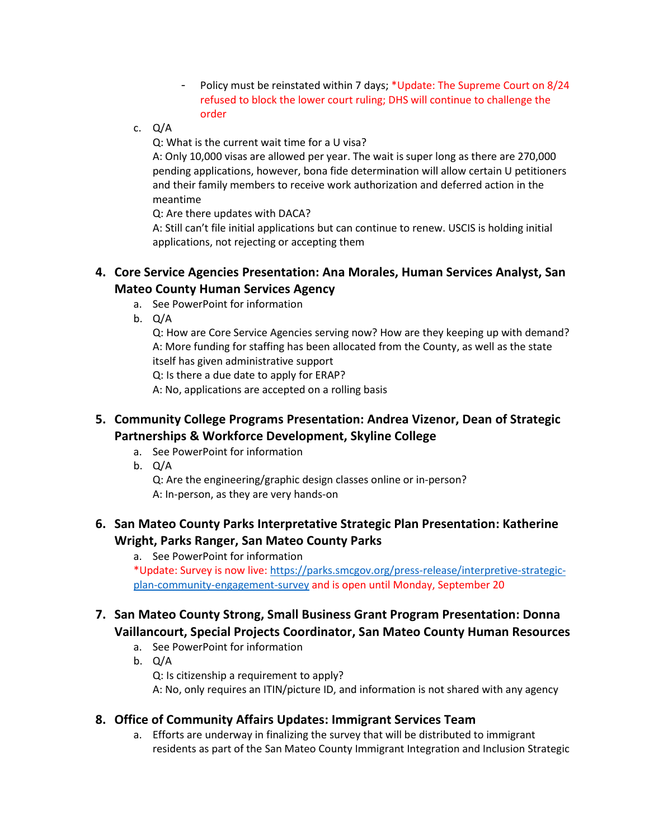- Policy must be reinstated within 7 days; \*Update: The Supreme Court on 8/24 refused to block the lower court ruling; DHS will continue to challenge the order
- c. Q/A

Q: What is the current wait time for a U visa?

A: Only 10,000 visas are allowed per year. The wait is super long as there are 270,000 pending applications, however, bona fide determination will allow certain U petitioners and their family members to receive work authorization and deferred action in the meantime

Q: Are there updates with DACA?

A: Still can't file initial applications but can continue to renew. USCIS is holding initial applications, not rejecting or accepting them

### **4. Core Service Agencies Presentation: Ana Morales, Human Services Analyst, San Mateo County Human Services Agency**

- a. See PowerPoint for information
- b. Q/A

Q: How are Core Service Agencies serving now? How are they keeping up with demand? A: More funding for staffing has been allocated from the County, as well as the state itself has given administrative support

Q: Is there a due date to apply for ERAP?

A: No, applications are accepted on a rolling basis

## **5. Community College Programs Presentation: Andrea Vizenor, Dean of Strategic Partnerships & Workforce Development, Skyline College**

- a. See PowerPoint for information
- b. Q/A

Q: Are the engineering/graphic design classes online or in-person? A: In-person, as they are very hands-on

## **6. San Mateo County Parks Interpretative Strategic Plan Presentation: Katherine Wright, Parks Ranger, San Mateo County Parks**

a. See PowerPoint for information

\*Update: Survey is now live[: https://parks.smcgov.org/press-release/interpretive-strategic](https://parks.smcgov.org/press-release/interpretive-strategic-plan-community-engagement-survey)[plan-community-engagement-survey](https://parks.smcgov.org/press-release/interpretive-strategic-plan-community-engagement-survey) and is open until Monday, September 20

## **7. San Mateo County Strong, Small Business Grant Program Presentation: Donna Vaillancourt, Special Projects Coordinator, San Mateo County Human Resources**

- a. See PowerPoint for information
- b. Q/A

Q: Is citizenship a requirement to apply?

A: No, only requires an ITIN/picture ID, and information is not shared with any agency

#### **8. Office of Community Affairs Updates: Immigrant Services Team**

a. Efforts are underway in finalizing the survey that will be distributed to immigrant residents as part of the San Mateo County Immigrant Integration and Inclusion Strategic